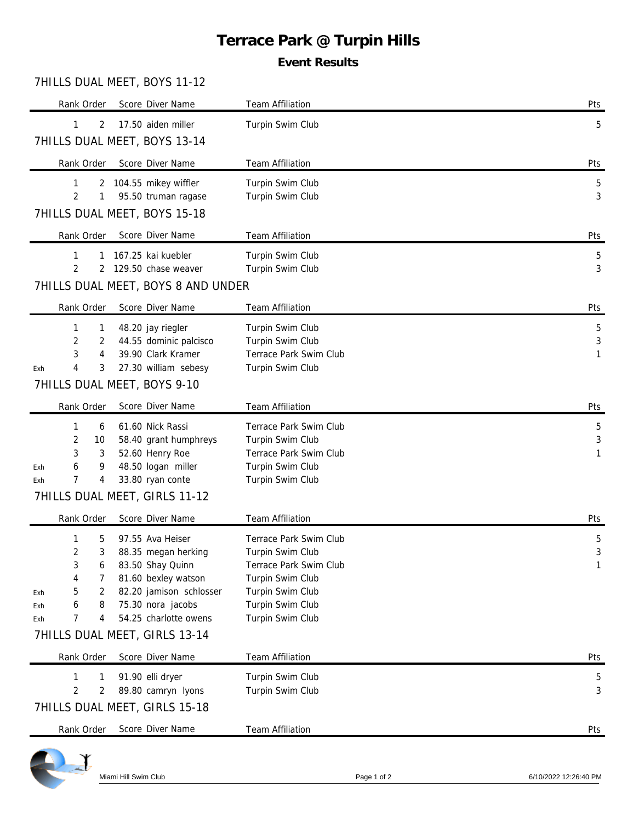# **Terrace Park @ Turpin Hills**

## **Event Results**

#### 7HILLS DUAL MEET, BOYS 11-12

| Rank Order                                                                                           | Score Diver Name                            | <b>Team Affiliation</b>                    | Pts                  |  |  |  |  |  |  |
|------------------------------------------------------------------------------------------------------|---------------------------------------------|--------------------------------------------|----------------------|--|--|--|--|--|--|
| $\mathbf{1}$<br>2                                                                                    | 17.50 aiden miller                          | Turpin Swim Club                           | 5                    |  |  |  |  |  |  |
|                                                                                                      | 7HILLS DUAL MEET, BOYS 13-14                |                                            |                      |  |  |  |  |  |  |
| Rank Order                                                                                           | Score Diver Name                            | Team Affiliation                           | Pts                  |  |  |  |  |  |  |
| 1<br>2                                                                                               | 104.55 mikey wiffler                        | Turpin Swim Club                           | $5\phantom{.0}$      |  |  |  |  |  |  |
| $\overline{2}$<br>1                                                                                  | 95.50 truman ragase                         | Turpin Swim Club                           | 3                    |  |  |  |  |  |  |
| 7HILLS DUAL MEET, BOYS 15-18                                                                         |                                             |                                            |                      |  |  |  |  |  |  |
| Rank Order                                                                                           | Score Diver Name                            | <b>Team Affiliation</b>                    | Pts                  |  |  |  |  |  |  |
| 1<br>1                                                                                               | 167.25 kai kuebler                          | Turpin Swim Club                           | $5\phantom{.0}$<br>3 |  |  |  |  |  |  |
| $\overline{2}$<br>129.50 chase weaver<br>Turpin Swim Club<br>2<br>7HILLS DUAL MEET, BOYS 8 AND UNDER |                                             |                                            |                      |  |  |  |  |  |  |
|                                                                                                      |                                             |                                            |                      |  |  |  |  |  |  |
| Rank Order                                                                                           | Score Diver Name                            | Team Affiliation                           | Pts                  |  |  |  |  |  |  |
| 1<br>1<br>2<br>2                                                                                     | 48.20 jay riegler<br>44.55 dominic palcisco | Turpin Swim Club<br>Turpin Swim Club       | 5<br>3               |  |  |  |  |  |  |
| 3<br>4                                                                                               | 39.90 Clark Kramer                          | Terrace Park Swim Club                     | 1                    |  |  |  |  |  |  |
| 4<br>3<br>Exh                                                                                        | 27.30 william sebesy                        | Turpin Swim Club                           |                      |  |  |  |  |  |  |
| 7HILLS DUAL MEET, BOYS 9-10                                                                          |                                             |                                            |                      |  |  |  |  |  |  |
| Rank Order                                                                                           | Score Diver Name                            | Team Affiliation                           | Pts                  |  |  |  |  |  |  |
| 1<br>6                                                                                               | 61.60 Nick Rassi                            | Terrace Park Swim Club                     | 5                    |  |  |  |  |  |  |
| 2<br>10<br>3<br>3                                                                                    | 58.40 grant humphreys<br>52.60 Henry Roe    | Turpin Swim Club<br>Terrace Park Swim Club | 3<br>1               |  |  |  |  |  |  |
| 6<br>9<br>Exh                                                                                        | 48.50 logan miller                          | Turpin Swim Club                           |                      |  |  |  |  |  |  |
| 7<br>4<br>Exh                                                                                        | 33.80 ryan conte                            | Turpin Swim Club                           |                      |  |  |  |  |  |  |
| 7HILLS DUAL MEET, GIRLS 11-12                                                                        |                                             |                                            |                      |  |  |  |  |  |  |
| Rank Order                                                                                           | Score Diver Name                            | <b>Team Affiliation</b>                    | Pts                  |  |  |  |  |  |  |
| 5<br>1                                                                                               | 97.55 Ava Heiser                            | Terrace Park Swim Club                     | 5                    |  |  |  |  |  |  |
| $\overline{2}$<br>3<br>3<br>6                                                                        | 88.35 megan herking<br>83.50 Shay Quinn     | Turpin Swim Club<br>Terrace Park Swim Club | 3<br>1               |  |  |  |  |  |  |
| 4<br>7                                                                                               | 81.60 bexley watson                         | Turpin Swim Club                           |                      |  |  |  |  |  |  |
| 5<br>2<br>Exh                                                                                        | 82.20 jamison schlosser                     | Turpin Swim Club                           |                      |  |  |  |  |  |  |
| 8<br>6<br>Exh<br>7<br>4<br>Exh                                                                       | 75.30 nora jacobs<br>54.25 charlotte owens  | Turpin Swim Club<br>Turpin Swim Club       |                      |  |  |  |  |  |  |
|                                                                                                      | 7HILLS DUAL MEET, GIRLS 13-14               |                                            |                      |  |  |  |  |  |  |
| Rank Order                                                                                           | Score Diver Name                            | Team Affiliation                           | Pts                  |  |  |  |  |  |  |
| 1<br>1                                                                                               | 91.90 elli dryer                            | Turpin Swim Club                           |                      |  |  |  |  |  |  |
| $\overline{2}$<br>2                                                                                  | 89.80 camryn lyons                          | Turpin Swim Club                           | $\overline{5}$<br>3  |  |  |  |  |  |  |
| 7HILLS DUAL MEET, GIRLS 15-18                                                                        |                                             |                                            |                      |  |  |  |  |  |  |
| Rank Order                                                                                           | Score Diver Name                            | Team Affiliation                           | <b>Pts</b>           |  |  |  |  |  |  |
|                                                                                                      |                                             |                                            |                      |  |  |  |  |  |  |